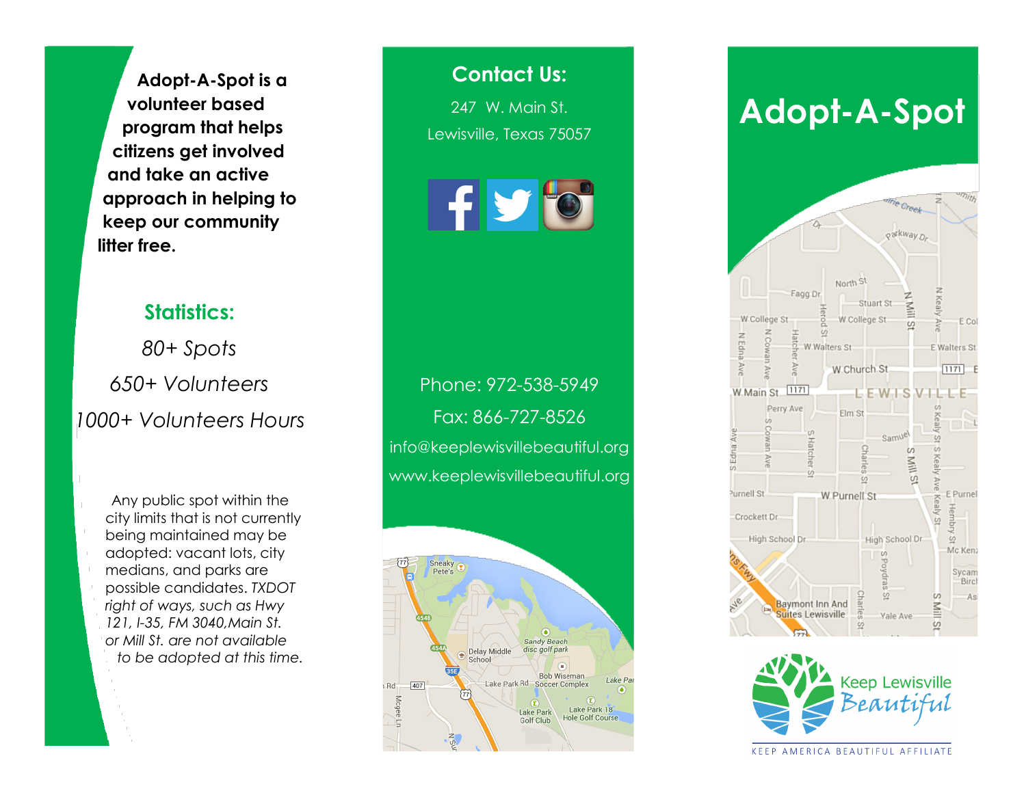**Adopt-A-Spot is a volunteer based program that helps citizens get involved and take an active approach in helping to keep our community litter free.**

#### **Statistics:**

*80+ Spots 650+ Volunteers 1000+ Volunteers Hours*

> Any public spot within the city limits that is not currently being maintained may be adopted: vacant lots, city medians, and parks are possible candidates. *TXDOT right of ways, such as Hwy 121, I-35, FM 3040,Main St. or Mill St. are not available to be adopted at this time.*

### **Contact Us:**

247 W. Main St. Lewisville, Texas 75057



## Phone: 972-538-5949 Fax: 866-727-8526 info@keeplewisvillebeautiful.org www.keeplewisvillebeautiful.org



# **Adopt-A-Spot**





KEEP AMERICA BEAUTIFUL AFFILIATE